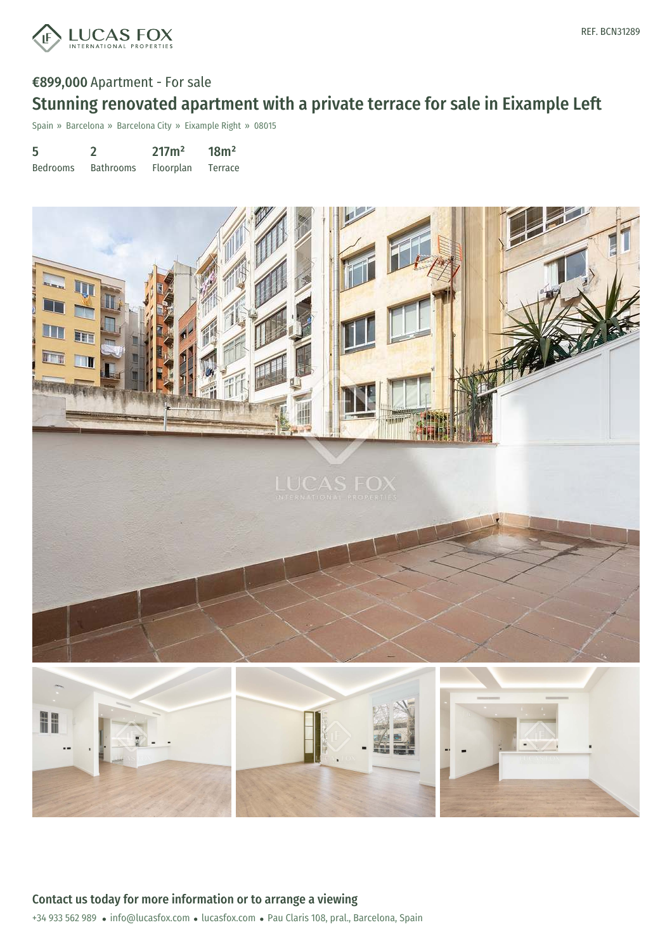

# €899,000 Apartment - For sale Stunning renovated apartment with a private terrace for sale in Eixample Left

Spain » Barcelona » Barcelona City » Eixample Right » 08015

| 5               |                  | 217m <sup>2</sup> | 18m <sup>2</sup> |
|-----------------|------------------|-------------------|------------------|
| <b>Bedrooms</b> | <b>Bathrooms</b> | <b>Floorplan</b>  | Terrace          |

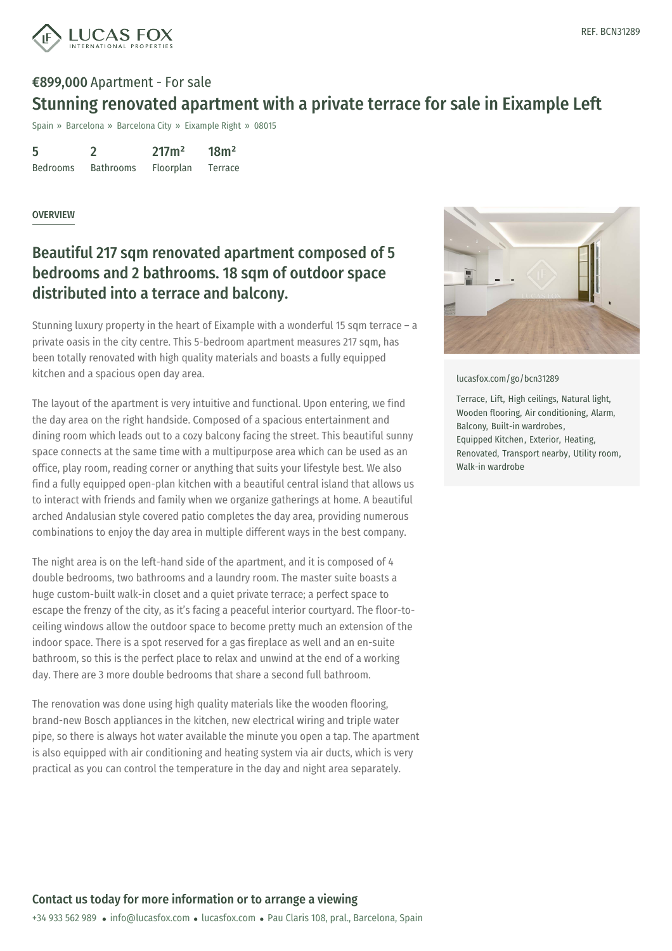

# €899,000 Apartment - For sale Stunning renovated apartment with a private terrace for sale in Eixample Left

Spain » Barcelona » Barcelona City » Eixample Right » 08015

| 5               |                  | 217m <sup>2</sup> | 18m <sup>2</sup> |
|-----------------|------------------|-------------------|------------------|
| <b>Bedrooms</b> | <b>Bathrooms</b> | Floorplan         | Terrace          |

#### **OVERVIEW**

## Beautiful 217 sqm renovated apartment composed of 5 bedrooms and 2 bathrooms. 18 sqm of outdoor space distributed into a terrace and balcony.

Stunning luxury property in the heart of Eixample with a wonderful 15 sqm terrace – a private oasis in the city centre. This 5-bedroom apartment measures 217 sqm, has been totally renovated with high quality materials and boasts a fully equipped kitchen and a spacious open day area.

The layout of the apartment is very intuitive and functional. Upon entering, we find the day area on the right handside. Composed of a spacious entertainment and dining room which leads out to a cozy balcony facing the street. This beautiful sunny space connects at the same time with a multipurpose area which can be used as an office, play room, reading corner or anything that suits your lifestyle best. We also find a fully equipped open-plan kitchen with a beautiful central island that allows us to interact with friends and family when we organize gatherings at home. A beautiful arched Andalusian style covered patio completes the day area, providing numerous combinations to enjoy the day area in multiple different ways in the best company.

The night area is on the left-hand side of the apartment, and it is composed of 4 double bedrooms, two bathrooms and a laundry room. The master suite boasts a huge custom-built walk-in closet and a quiet private terrace; a perfect space to escape the frenzy of the city, as it's facing a peaceful interior courtyard. The floor-toceiling windows allow the outdoor space to become pretty much an extension of the indoor space. There is a spot reserved for a gas fireplace as well and an en-suite bathroom, so this is the perfect place to relax and unwind at the end of a working day. There are 3 more double bedrooms that share a second full bathroom.

The renovation was done [using](mailto:info@lucasfox.com) high [quality](https://www.lucasfox.com) materials like the wooden flooring, brand-new Bosch appliances in the kitchen, new electrical wiring and triple water pipe, so there is always hot water available the minute you open a tap. The apartment is also equipped with air conditioning and heating system via air ducts, which is very practical as you can control the temperature in the day and night area separately.



[lucasfox.com/go/bcn31289](https://www.lucasfox.com/go/bcn31289)

Terrace, Lift, High ceilings, Natural light, Wooden flooring, Air conditioning, Alarm, Balcony, Built-in wardrobes, Equipped Kitchen, Exterior, Heating, Renovated, Transport nearby, Utility room, Walk-in wardrobe